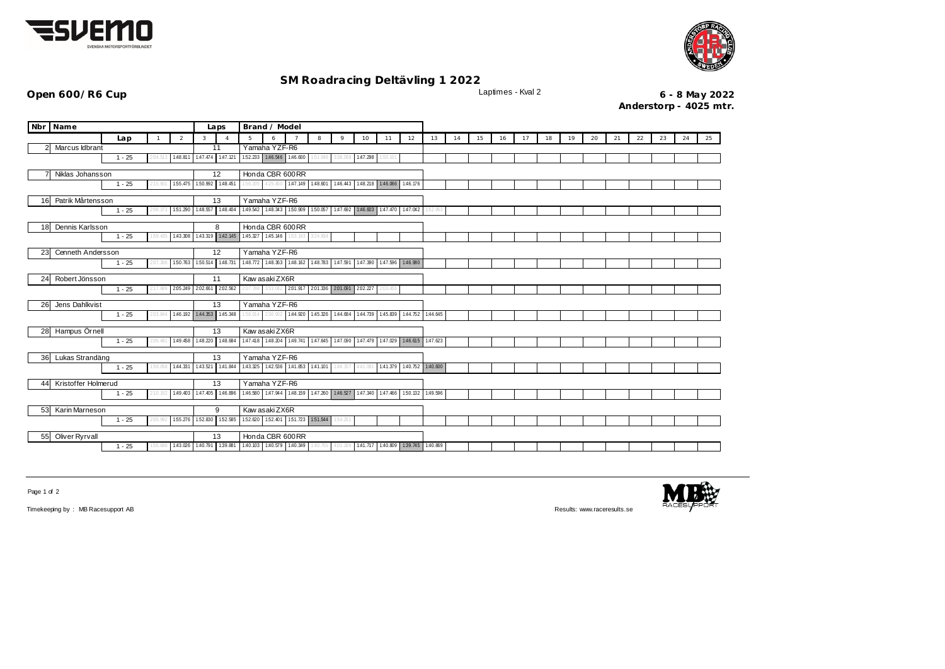



## **SM Roadracing Deltävling 1 2022**

**Open 600/R6 Cup** Laptimes - Kval 2 **6 - 8 May 2022 Anderstorp - 4025 mtr.**

| Nbr Name                                                |                   | Laps         | Brand / Model  |   |                            |                                                 |                 |                                         |   |                 |                                                                                                 |          |    |                   |    |    |    |    |    |    |    |    |    |    |    |    |
|---------------------------------------------------------|-------------------|--------------|----------------|---|----------------------------|-------------------------------------------------|-----------------|-----------------------------------------|---|-----------------|-------------------------------------------------------------------------------------------------|----------|----|-------------------|----|----|----|----|----|----|----|----|----|----|----|----|
|                                                         | Lap               | $\mathbf{1}$ | $\overline{2}$ | 3 | $\overline{A}$             | 5                                               | 6               |                                         | 8 | 9               | 10                                                                                              | 11       | 12 | 13                | 14 | 15 | 16 | 17 | 18 | 19 | 20 | 21 | 22 | 23 | 24 | 25 |
| Marcus Idbrant                                          |                   |              |                |   | 11                         |                                                 | Yamaha YZF-R6   |                                         |   |                 |                                                                                                 |          |    |                   |    |    |    |    |    |    |    |    |    |    |    |    |
|                                                         | $1 - 25$          | 2:04.513     | 1:48.811       |   | 1:47.474 1:47.121          |                                                 |                 | 152.233 1.46.546 1.46.600               |   | 151.046 338.068 | 1:47.298                                                                                        | 1:50.101 |    |                   |    |    |    |    |    |    |    |    |    |    |    |    |
| Niklas Johansson                                        |                   |              |                |   | 12                         | Honda CBR 600RR                                 |                 |                                         |   |                 |                                                                                                 |          |    |                   |    |    |    |    |    |    |    |    |    |    |    |    |
| 155.475<br>$1 - 25$<br>2:15.901                         |                   |              |                |   | 150.992 1:48.451           | 1:56.205                                        |                 |                                         |   |                 | 425.450 1.47.149 1.48.601 1.46.443 1.48.218 1.46.066 1.46.176                                   |          |    |                   |    |    |    |    |    |    |    |    |    |    |    |    |
|                                                         |                   |              |                |   |                            |                                                 |                 |                                         |   |                 |                                                                                                 |          |    |                   |    |    |    |    |    |    |    |    |    |    |    |    |
| 16 Patrik Mårtensson<br>151.290<br>$1 - 25$<br>2:06.373 |                   |              |                |   | 13<br>1:48.557 1:48.404    |                                                 | Yamaha YZF-R6   |                                         |   |                 | 149.542 148.343 1.50.909 1.50.057 1.47.692 1.46.603 1.47.470 1.47.042 1.52.953                  |          |    |                   |    |    |    |    |    |    |    |    |    |    |    |    |
|                                                         |                   |              |                |   |                            |                                                 |                 |                                         |   |                 |                                                                                                 |          |    |                   |    |    |    |    |    |    |    |    |    |    |    |    |
| Dennis Karlsson<br>18                                   |                   |              |                |   | 8                          |                                                 | Honda CBR 600RR |                                         |   |                 |                                                                                                 |          |    |                   |    |    |    |    |    |    |    |    |    |    |    |    |
|                                                         | $1 - 25$          | 1:59.435     | 1:43.308       |   |                            | 143.319 142.145 145.327 145.146 153.193 324.934 |                 |                                         |   |                 |                                                                                                 |          |    |                   |    |    |    |    |    |    |    |    |    |    |    |    |
| 23                                                      | Cenneth Andersson |              |                |   | 12                         |                                                 | Yamaha YZF-R6   |                                         |   |                 |                                                                                                 |          |    |                   |    |    |    |    |    |    |    |    |    |    |    |    |
|                                                         | $1 - 25$          | 2:07.306     | 1:50.763       |   | 1.50.514 1.48.731          |                                                 |                 |                                         |   |                 | 148.772 148.363 148.162 148.783 147.591 147.390 147.596 146.980                                 |          |    |                   |    |    |    |    |    |    |    |    |    |    |    |    |
| Robert Jönsson                                          |                   |              |                |   | 11                         |                                                 | Kaw asaki ZX6R  |                                         |   |                 |                                                                                                 |          |    |                   |    |    |    |    |    |    |    |    |    |    |    |    |
| 24                                                      | $1 - 25$          | 2:17.889     | 2.05.249       |   | 2.02.661 2.02.562          |                                                 |                 |                                         |   |                 | 2.07.788 3.33.042 2.01.917 2.01.336 2.01.091 2.02.227                                           | 2:03.456 |    |                   |    |    |    |    |    |    |    |    |    |    |    |    |
|                                                         |                   |              |                |   |                            |                                                 |                 |                                         |   |                 |                                                                                                 |          |    |                   |    |    |    |    |    |    |    |    |    |    |    |    |
| Jens Dahlkvist<br>26                                    |                   |              |                |   | 13                         |                                                 | Yamaha YZF-R6   |                                         |   |                 |                                                                                                 |          |    |                   |    |    |    |    |    |    |    |    |    |    |    |    |
|                                                         | $1 - 25$          | 2:03.844     |                |   | 1.46.192 1.44.353 1.45.348 |                                                 |                 |                                         |   |                 | 158.014 2:30.902 1:44.920 1:45.326 1:44.684 1:44.739 1:45.839                                   |          |    | 1:44.752 1:44.645 |    |    |    |    |    |    |    |    |    |    |    |    |
| 28 Hampus Örnell                                        |                   |              |                |   | 13                         |                                                 | Kaw asaki ZX6R  |                                         |   |                 |                                                                                                 |          |    |                   |    |    |    |    |    |    |    |    |    |    |    |    |
|                                                         | $1 - 25$          | 2:05.481     | 1:49.458       |   | 1:48.220 1:48.684          |                                                 |                 |                                         |   |                 | 147.418 148.204 149.741 147.645 147.090 147.479 147.029 146.615 147.623                         |          |    |                   |    |    |    |    |    |    |    |    |    |    |    |    |
|                                                         |                   |              |                |   |                            |                                                 | Yamaha YZF-R6   |                                         |   |                 |                                                                                                 |          |    |                   |    |    |    |    |    |    |    |    |    |    |    |    |
| Lukas Strandäng<br>36                                   | $1 - 25$          | 1:59.058     | 1:44.331       |   | 13<br>1:43.521 1:41.844    |                                                 |                 |                                         |   |                 | 143.325 142.536 141.853 141.101 146.157 441.091 141.379                                         |          |    | 1:40.752 1:40.600 |    |    |    |    |    |    |    |    |    |    |    |    |
|                                                         |                   |              |                |   |                            |                                                 |                 |                                         |   |                 |                                                                                                 |          |    |                   |    |    |    |    |    |    |    |    |    |    |    |    |
| Kristoffer Holmerud<br>44                               |                   |              |                |   | 13                         |                                                 | Yamaha YZF-R6   |                                         |   |                 |                                                                                                 |          |    |                   |    |    |    |    |    |    |    |    |    |    |    |    |
|                                                         | $1 - 25$          |              | 1:49.403       |   | 1:47.405 1:46.896          |                                                 |                 |                                         |   |                 | 146.580   147.944   148.159   147.260   146.527   147.340   147.466   150.132   149.596         |          |    |                   |    |    |    |    |    |    |    |    |    |    |    |    |
| 53 Karin Marneson                                       |                   |              |                | 9 |                            | Kaw asaki ZX6R                                  |                 |                                         |   |                 |                                                                                                 |          |    |                   |    |    |    |    |    |    |    |    |    |    |    |    |
|                                                         | $1 - 25$          | 2:05.992     | 1:55.276       |   | 152.830 152.585            |                                                 |                 | 152.620 152.401 151.723 151.544 154.251 |   |                 |                                                                                                 |          |    |                   |    |    |    |    |    |    |    |    |    |    |    |    |
|                                                         |                   |              |                |   |                            |                                                 |                 |                                         |   |                 |                                                                                                 |          |    |                   |    |    |    |    |    |    |    |    |    |    |    |    |
| 55 Oliver Ryrvall                                       | $1 - 25$          | :55.688      |                |   | 13                         |                                                 | Honda CBR 600RR |                                         |   |                 | 143.026 140.791 139.881 140.103 140.579 140.349 140.755 401.289 141.717 140.809 139.745 140.869 |          |    |                   |    |    |    |    |    |    |    |    |    |    |    |    |
|                                                         |                   |              |                |   |                            |                                                 |                 |                                         |   |                 |                                                                                                 |          |    |                   |    |    |    |    |    |    |    |    |    |    |    |    |

Page 1 of 2

Timekeeping by : MB Racesupport AB Results: <www.raceresults.se>